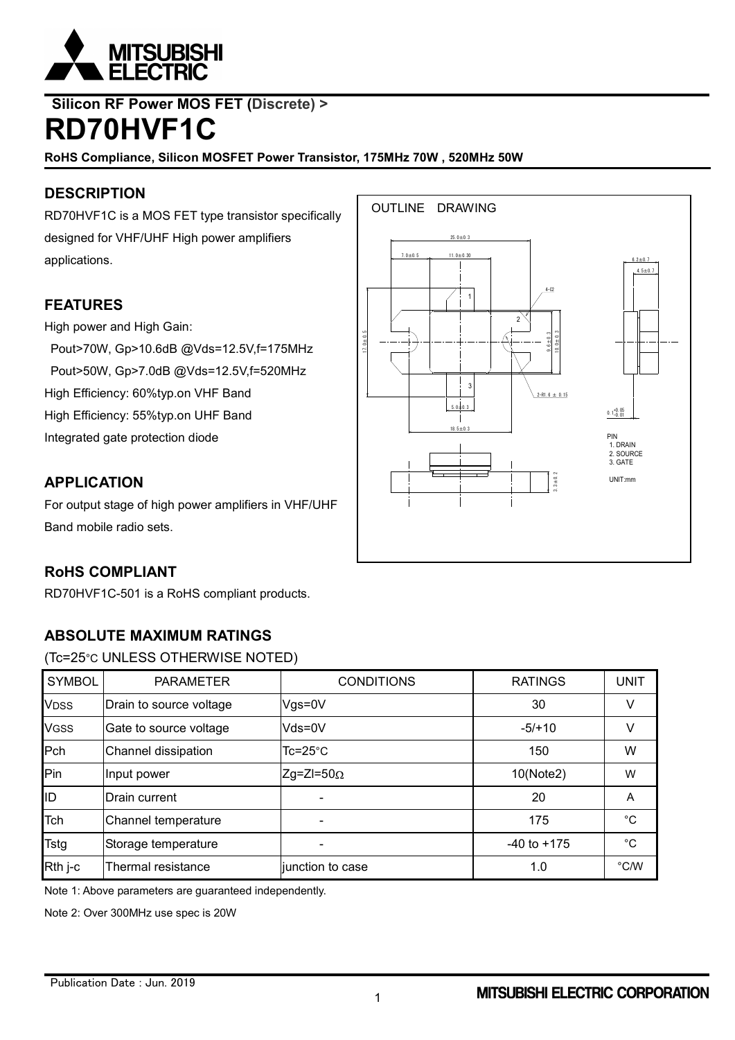

# **Silicon RF Power MOS FET (Discrete) > RD70HVF1C**

**RoHS Compliance, Silicon MOSFET Power Transistor, 175MHz 70W , 520MHz 50W**

# **DESCRIPTION**

RD70HVF1C is a MOS FET type transistor specifically designed for VHF/UHF High power amplifiers applications.

# **FEATURES**

High power and High Gain:

Pout>70W, Gp>10.6dB @Vds=12.5V,f=175MHz Pout>50W, Gp>7.0dB @Vds=12.5V,f=520MHz High Efficiency: 60%typ.on VHF Band High Efficiency: 55%typ.on UHF Band Integrated gate protection diode

### **APPLICATION**

For output stage of high power amplifiers in VHF/UHF Band mobile radio sets.

# **RoHS COMPLIANT**

RD70HVF1C-501 is a RoHS compliant products.

# **ABSOLUTE MAXIMUM RATINGS**

(Tc=25°C UNLESS OTHERWISE NOTED)

| <b>SYMBOL</b> | <b>PARAMETER</b>        | <b>CONDITIONS</b>  | <b>RATINGS</b> | <b>UNIT</b> |
|---------------|-------------------------|--------------------|----------------|-------------|
| <b>VDSS</b>   | Drain to source voltage | $Vgs = 0V$         | 30             | ٧           |
| <b>VGSS</b>   | Gate to source voltage  | Vds=0V             | $-5/10$        | V           |
| Pch           | Channel dissipation     | $Tc = 25^{\circ}C$ | 150            | W           |
| Pin           | Input power             | $Zg=ZI=50\Omega$   | 10(Note2)      | W           |
| ID            | Drain current           |                    | 20             | A           |
| Tch           | Channel temperature     |                    | 175            | °C          |
| <b>Tstg</b>   | Storage temperature     | $-40$ to $+175$    |                | $^{\circ}C$ |
| Rth j-c       | Thermal resistance      | junction to case   | 1.0            | °C/W        |

Note 1: Above parameters are guaranteed independently.

Note 2: Over 300MHz use spec is 20W

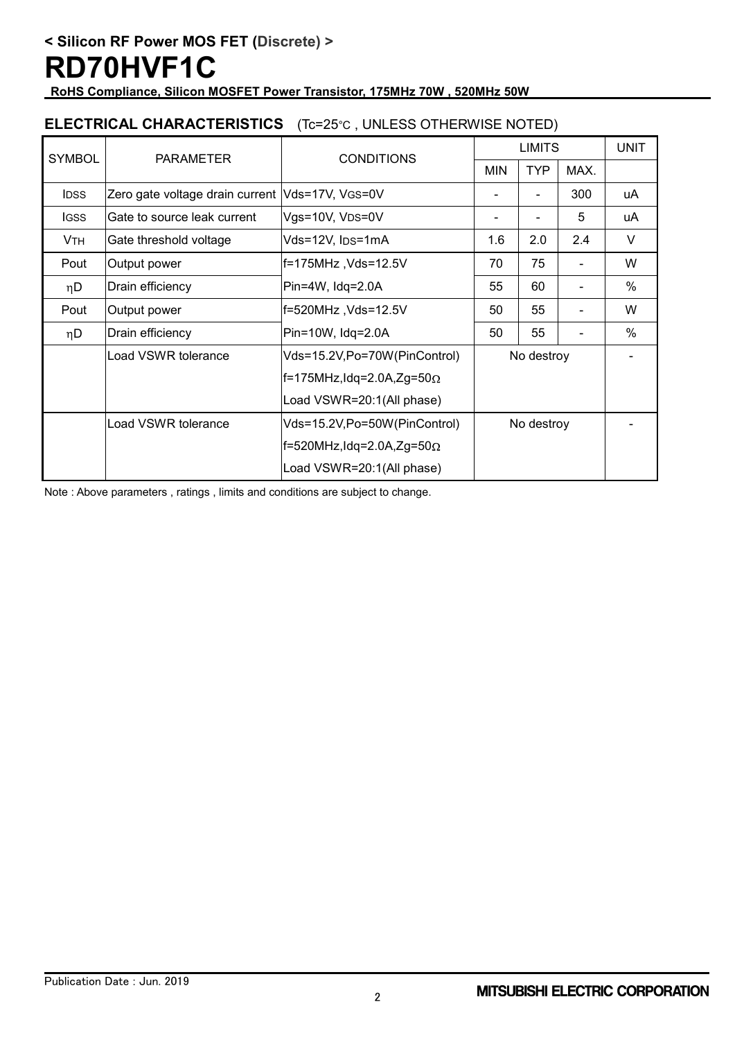**RoHS Compliance, Silicon MOSFET Power Transistor, 175MHz 70W , 520MHz 50W**

### **ELECTRICAL CHARACTERISTICS** (Tc=25°C , UNLESS OTHERWISE NOTED)

| <b>SYMBOL</b>         | <b>PARAMETER</b>                                    | <b>CONDITIONS</b>                     | <b>LIMITS</b> |            |                | <b>UNIT</b> |
|-----------------------|-----------------------------------------------------|---------------------------------------|---------------|------------|----------------|-------------|
|                       |                                                     |                                       | <b>MIN</b>    | <b>TYP</b> | MAX.           |             |
| <b>IDSS</b>           | Zero gate voltage drain current Vds=17V, VGS=0V     |                                       |               |            | 300            | uA          |
| <b>IGSS</b>           | Gate to source leak current                         | Vgs=10V, VDS=0V                       |               |            | 5              | uA          |
| <b>V<sub>TH</sub></b> | Gate threshold voltage                              | Vds=12V, IDS=1mA                      | 1.6           | 2.0        | 2.4            | V           |
| Pout                  | Output power                                        | f=175MHz ,Vds=12.5V                   | 70            | 75         |                | W           |
| nD                    | Drain efficiency                                    | Pin=4W, Idq=2.0A                      | 55            | 60         | $\blacksquare$ | $\%$        |
| Pout                  | Output power                                        | f=520MHz, Vds=12.5V                   | 50            | 55         |                | W           |
| nD                    | Drain efficiency                                    | Pin=10W, Idq=2.0A                     | 50            | 55         |                | $\%$        |
|                       | Load VSWR tolerance<br>Vds=15.2V,Po=70W(PinControl) |                                       | No destroy    |            |                |             |
|                       |                                                     | $f=175$ MHz, Idq=2.0A, Zg=50 $\Omega$ |               |            |                |             |
|                       | Load VSWR=20:1(All phase)                           |                                       |               |            |                |             |
|                       | Load VSWR tolerance                                 | Vds=15.2V,Po=50W(PinControl)          | No destroy    |            |                |             |
|                       |                                                     | $f=520$ MHz,Idq=2.0A,Zg=50 $\Omega$   |               |            |                |             |
|                       |                                                     | Load VSWR=20:1(All phase)             |               |            |                |             |

Note : Above parameters , ratings , limits and conditions are subject to change.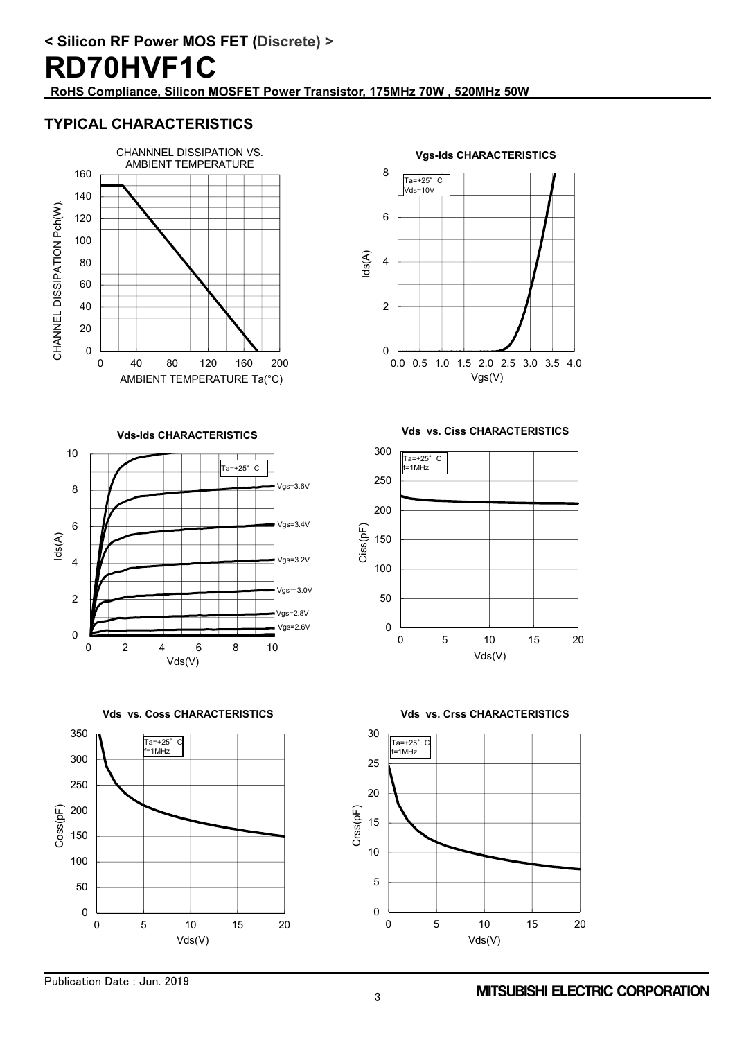**< Silicon RF Power MOS FET (Discrete) > RD70HVF1C RoHS Compliance, Silicon MOSFET Power Transistor, 175MHz 70W , 520MHz 50W**

### **TYPICAL CHARACTERISTICS**



 $\overline{0}$ 2 4 6 8 0.0 0.5 1.0 1.5 2.0 2.5 3.0 3.5 4.0 Ids(A) Vgs(V) **Vgs-Ids CHARACTERISTICS**  $Ta=+25^\circ$  C Vds=10V

**Vds-Ids CHARACTERISTICS**



**Vds vs. Coss CHARACTERISTICS**



**Vds vs. Ciss CHARACTERISTICS**





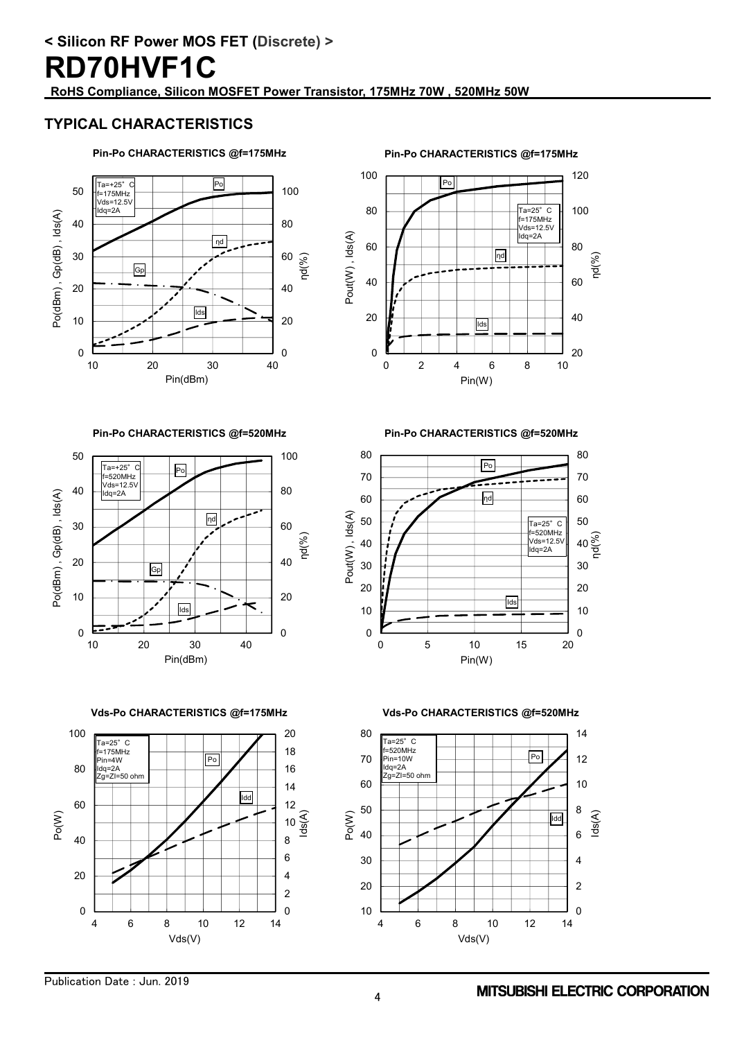# **RD70HVF1C**

**RoHS Compliance, Silicon MOSFET Power Transistor, 175MHz 70W , 520MHz 50W**

### **TYPICAL CHARACTERISTICS**

#### **Pin-Po CHARACTERISTICS @f=175MHz**



**Pin-Po CHARACTERISTICS @f=175MHz**



**Pin-Po CHARACTERISTICS @f=520MHz**



**Pin-Po CHARACTERISTICS @f=520MHz**



**Vds-Po CHARACTERISTICS @f=175MHz**





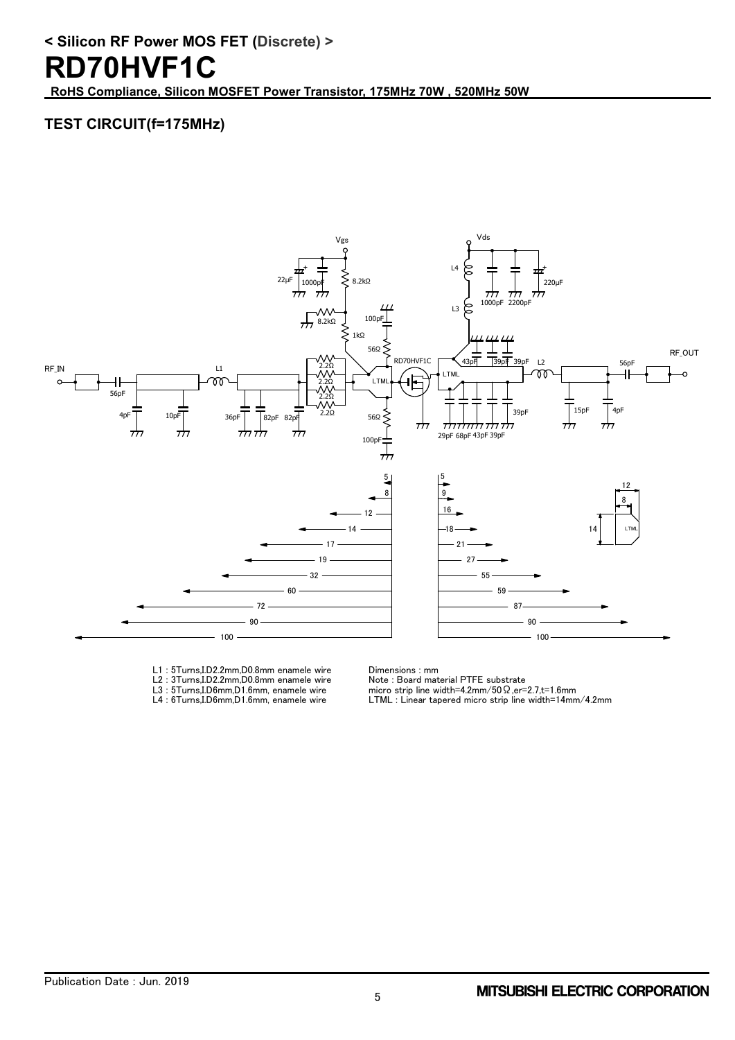**RoHS Compliance, Silicon MOSFET Power Transistor, 175MHz 70W , 520MHz 50W**

# **TEST CIRCUIT(f=175MHz)**



- L1 : 5Turns,I.D2.2mm,D0.8mm enamele wire L2 : 3Turns,I.D2.2mm,D0.8mm enamele wire
- L3 : 5Turns,I.D6mm,D1.6mm, enamele wire
- L4 : 6Turns, I.D6mm,D1.6mm, enamele wire

Dimensions : mm

Note : Board material PTFE substrate micro strip line width=4.2mm/50Ω,er=2.7,t=1.6mm

LTML : Linear tapered micro strip line width=14mm/4.2mm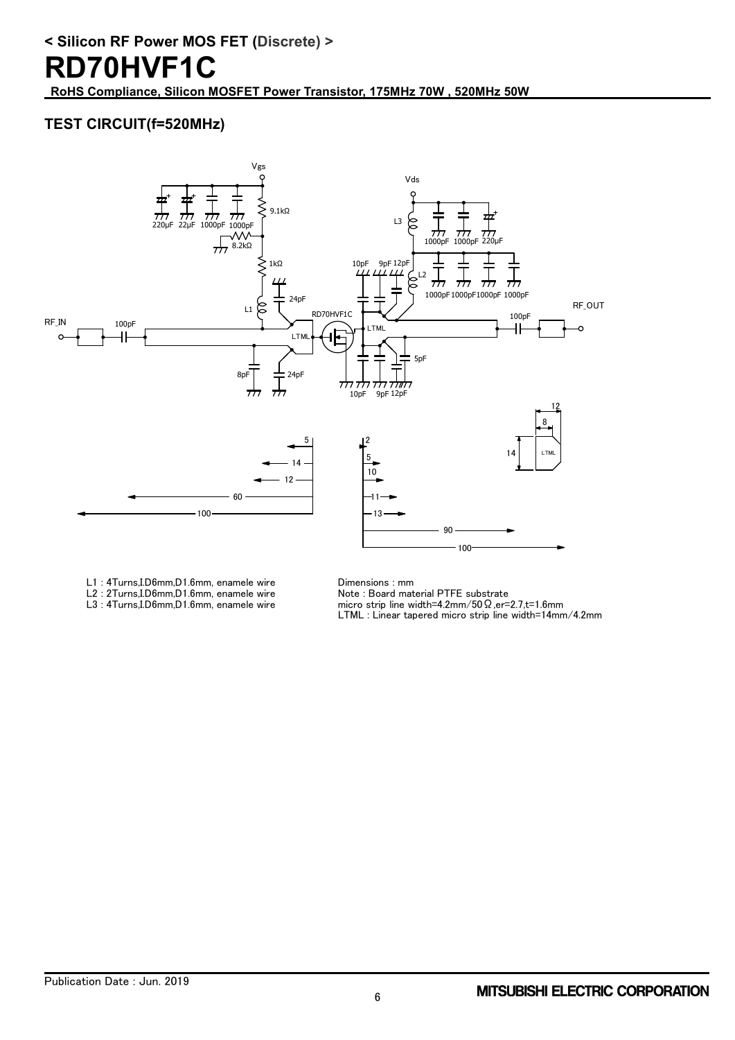# **RD70HVF1C**

**RoHS Compliance, Silicon MOSFET Power Transistor, 175MHz 70W , 520MHz 50W**

# **TEST CIRCUIT(f=520MHz)**



- L1 : 4Turns,I.D6mm,D1.6mm, enamele wire
- L2 : 2Turns, I.D6mm, D1.6mm, enamele wire L3 : 4Turns,I.D6mm,D1.6mm, enamele wire

Dimensions : mm

Note : Board material PTFE substrate

micro strip line width=4.2mm/50Ω,er=2.7,t=1.6mm

LTML : Linear tapered micro strip line width=14mm/4.2mm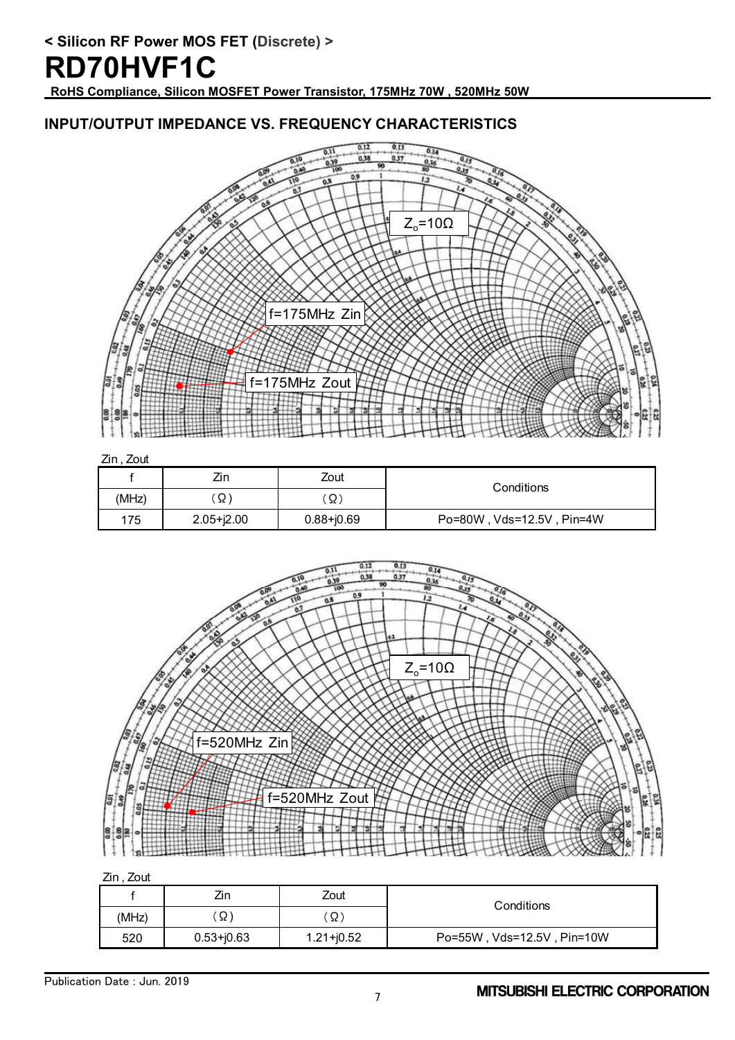# **RD70HVF1C**

**RoHS Compliance, Silicon MOSFET Power Transistor, 175MHz 70W , 520MHz 50W**

### **INPUT/OUTPUT IMPEDANCE VS. FREQUENCY CHARACTERISTICS**



Zin , Zout

|       | Zin            | Zout           | Conditions                |
|-------|----------------|----------------|---------------------------|
| (MHz) | Ω              | Ω              |                           |
| 175   | $2.05 + j2.00$ | $0.88 + j0.69$ | Po=80W, Vds=12.5V, Pin=4W |



Zin , Zout

|       | Zin            | Zout           | Conditions                 |
|-------|----------------|----------------|----------------------------|
| (MHz) | Ω)             | Ω              |                            |
| 520   | $0.53 + j0.63$ | $1.21 + j0.52$ | Po=55W, Vds=12.5V, Pin=10W |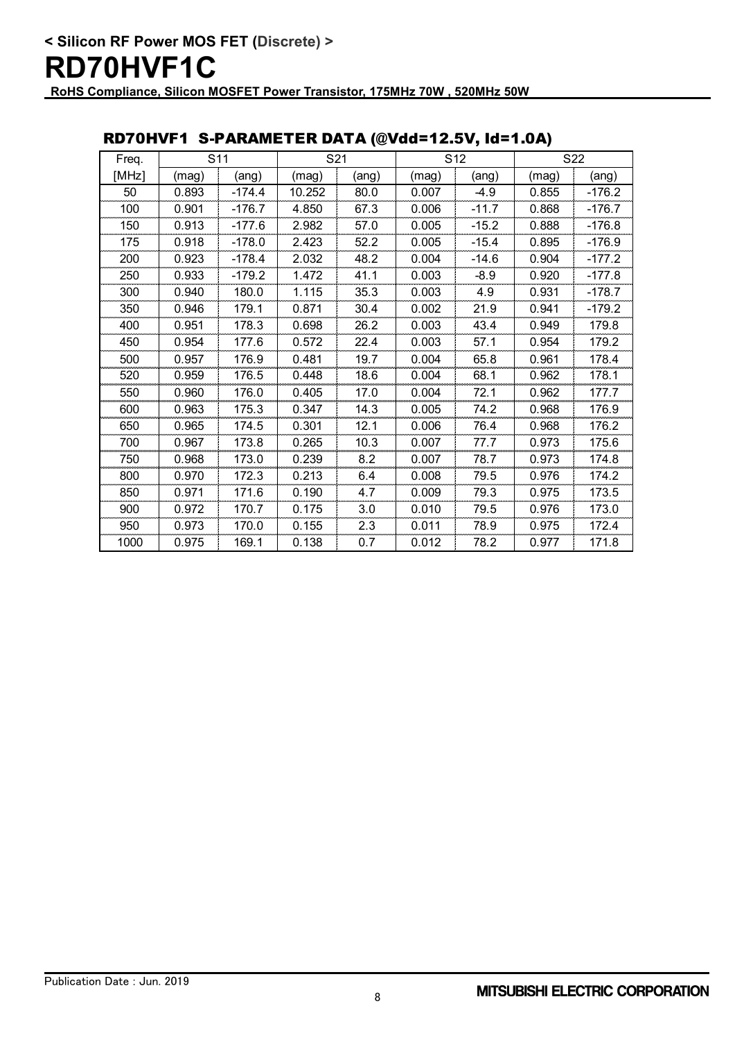#### Freq. [MHz] | (mag) | (ang) | (mag) | (ang) | (mag) | (ang) | (mag) | (ang) 0.893 -174.4 10.252 80.0 0.007 -4.9 0.855 -176.2 100 | 0.901 | -176.7 | 4.850 | 67.3 | 0.006 | -11.7 | 0.868 | -176.7 0.913 -177.6 2.982 57.0 0.005 -15.2 0.888 -176.8 175 | 0.918 | -178.0 | 2.423 | 52.2 | 0.005 | -15.4 | 0.895 | -176.9 0.923 -178.4 2.032 48.2 0.004 -14.6 0.904 -177.2 0.933 -179.2 1.472 41.1 0.003 -8.9 0.920 -177.8 0.940 180.0 1.115 35.3 0.003 4.9 0.931 -178.7 0.946 179.1 0.871 30.4 0.002 21.9 0.941 -179.2 0.951 178.3 0.698 26.2 0.003 43.4 0.949 179.8 0.954 177.6 0.572 22.4 0.003 57.1 0.954 179.2 0.957 176.9 0.481 19.7 0.004 65.8 0.961 178.4 0.959 176.5 0.448 18.6 0.004 68.1 0.962 178.1 0.960 176.0 0.405 17.0 0.004 72.1 0.962 177.7 0.963 175.3 0.347 14.3 0.005 74.2 0.968 176.9 0.965 174.5 0.301 12.1 0.006 76.4 0.968 176.2 0.967 173.8 0.265 10.3 0.007 77.7 0.973 175.6 0.968 173.0 0.239 8.2 0.007 78.7 0.973 174.8 0.970 172.3 0.213 6.4 0.008 79.5 0.976 174.2 0.971 171.6 0.190 4.7 0.009 79.3 0.975 173.5 900 | 0.972 | 170.7 | 0.175 | 3.0 | 0.010 | 79.5 | 0.976 | 173.0 0.973 170.0 0.155 2.3 0.011 78.9 0.975 172.4 0.975 169.1 0.138 0.7 0.012 78.2 0.977 171.8 S11 | S21 | S12 | S22

### RD70HVF1 S-PARAMETER DATA (@Vdd=12.5V, Id=1.0A)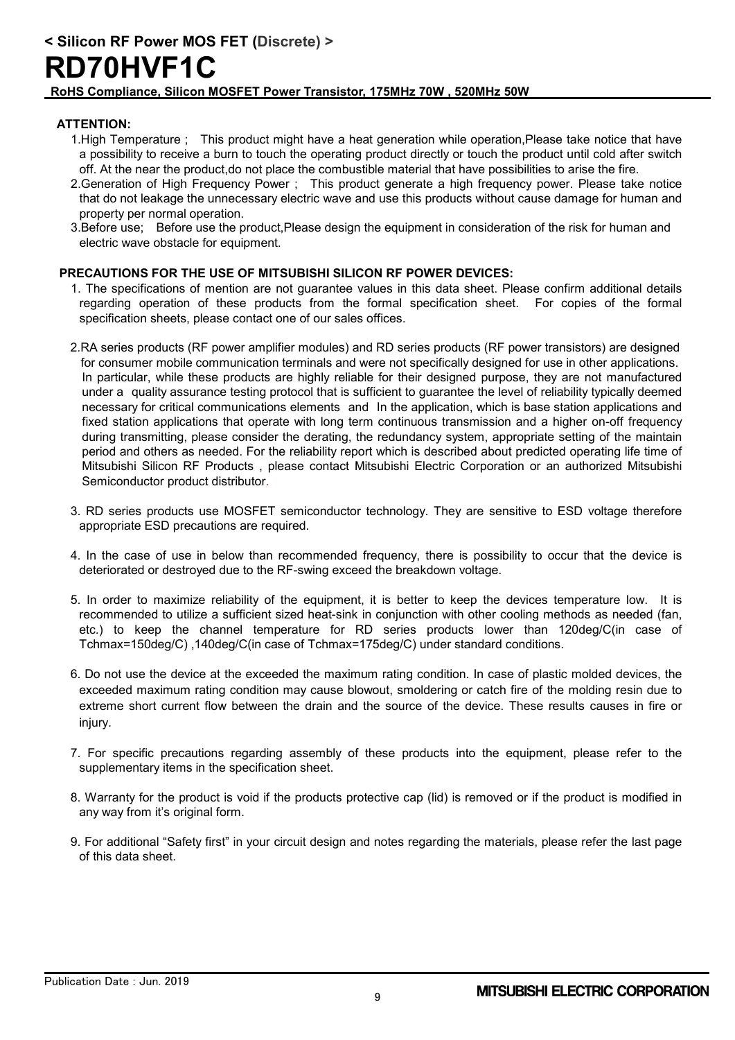#### **ATTENTION:**

- 1.High Temperature ; This product might have a heat generation while operation,Please take notice that have a possibility to receive a burn to touch the operating product directly or touch the product until cold after switch off. At the near the product,do not place the combustible material that have possibilities to arise the fire.
- 2.Generation of High Frequency Power ; This product generate a high frequency power. Please take notice that do not leakage the unnecessary electric wave and use this products without cause damage for human and property per normal operation.
- 3.Before use; Before use the product,Please design the equipment in consideration of the risk for human and electric wave obstacle for equipment.

#### **PRECAUTIONS FOR THE USE OF MITSUBISHI SILICON RF POWER DEVICES:**

- 1. The specifications of mention are not guarantee values in this data sheet. Please confirm additional details regarding operation of these products from the formal specification sheet. For copies of the formal specification sheets, please contact one of our sales offices.
- 2.RA series products (RF power amplifier modules) and RD series products (RF power transistors) are designed for consumer mobile communication terminals and were not specifically designed for use in other applications. In particular, while these products are highly reliable for their designed purpose, they are not manufactured under a quality assurance testing protocol that is sufficient to guarantee the level of reliability typically deemed necessary for critical communications elements and In the application, which is base station applications and fixed station applications that operate with long term continuous transmission and a higher on-off frequency during transmitting, please consider the derating, the redundancy system, appropriate setting of the maintain period and others as needed. For the reliability report which is described about predicted operating life time of Mitsubishi Silicon RF Products , please contact Mitsubishi Electric Corporation or an authorized Mitsubishi Semiconductor product distributor.
- 3. RD series products use MOSFET semiconductor technology. They are sensitive to ESD voltage therefore appropriate ESD precautions are required.
- 4. In the case of use in below than recommended frequency, there is possibility to occur that the device is deteriorated or destroyed due to the RF-swing exceed the breakdown voltage.
- 5. In order to maximize reliability of the equipment, it is better to keep the devices temperature low. It is recommended to utilize a sufficient sized heat-sink in conjunction with other cooling methods as needed (fan, etc.) to keep the channel temperature for RD series products lower than 120deg/C(in case of Tchmax=150deg/C) ,140deg/C(in case of Tchmax=175deg/C) under standard conditions.
- 6. Do not use the device at the exceeded the maximum rating condition. In case of plastic molded devices, the exceeded maximum rating condition may cause blowout, smoldering or catch fire of the molding resin due to extreme short current flow between the drain and the source of the device. These results causes in fire or injury.
- 7. For specific precautions regarding assembly of these products into the equipment, please refer to the supplementary items in the specification sheet.
- 8. Warranty for the product is void if the products protective cap (lid) is removed or if the product is modified in any way from it's original form.
- 9. For additional "Safety first" in your circuit design and notes regarding the materials, please refer the last page of this data sheet.